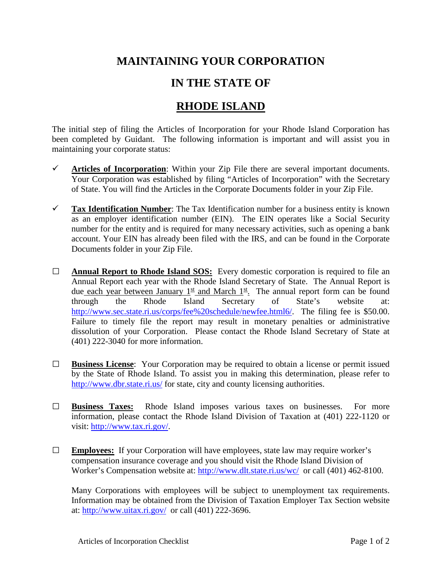## **MAINTAINING YOUR CORPORATION**

## **IN THE STATE OF**

## **RHODE ISLAND**

The initial step of filing the Articles of Incorporation for your Rhode Island Corporation has been completed by Guidant. The following information is important and will assist you in maintaining your corporate status:

- $\checkmark$  Articles of Incorporation: Within your Zip File there are several important documents. Your Corporation was established by filing "Articles of Incorporation" with the Secretary of State. You will find the Articles in the Corporate Documents folder in your Zip File.
- **Tax Identification Number**: The Tax Identification number for a business entity is known as an employer identification number (EIN). The EIN operates like a Social Security number for the entity and is required for many necessary activities, such as opening a bank account. Your EIN has already been filed with the IRS, and can be found in the Corporate Documents folder in your Zip File.
- **□ Annual Report to Rhode Island SOS:** Every domestic corporation is required to file an Annual Report each year with the Rhode Island Secretary of State. The Annual Report is due each year between January  $1<sup>st</sup>$  and March  $1<sup>st</sup>$ . The annual report form can be found through the Rhode Island Secretary of State's website at: [http://www.sec.state.ri.us/corps/fee%20schedule/newfee.html6/.](http://www.sec.state.ri.us/corps/fee%20schedule/newfee.html6/) The filing fee is \$50.00. Failure to timely file the report may result in monetary penalties or administrative dissolution of your Corporation. Please contact the Rhode Island Secretary of State at (401) 222-3040 for more information.
- **□ Business License**: Your Corporation may be required to obtain a license or permit issued by the State of Rhode Island. To assist you in making this determination, please refer to <http://www.dbr.state.ri.us/> for state, city and county licensing authorities.
- **□ Business Taxes:** Rhode Island imposes various taxes on businesses. For more information, please contact the Rhode Island Division of Taxation at (401) 222-1120 or visit: [http://www.tax.ri.gov/.](http://www.tax.ri.gov/)
- **□ Employees:** If your Corporation will have employees, state law may require worker's compensation insurance coverage and you should visit the Rhode Island Division of Worker's Compensation website at:<http://www.dlt.state.ri.us/wc/> or call (401) 462-8100.

Many Corporations with employees will be subject to unemployment tax requirements. Information may be obtained from the Division of Taxation Employer Tax Section website at:<http://www.uitax.ri.gov/> or call (401) 222-3696.